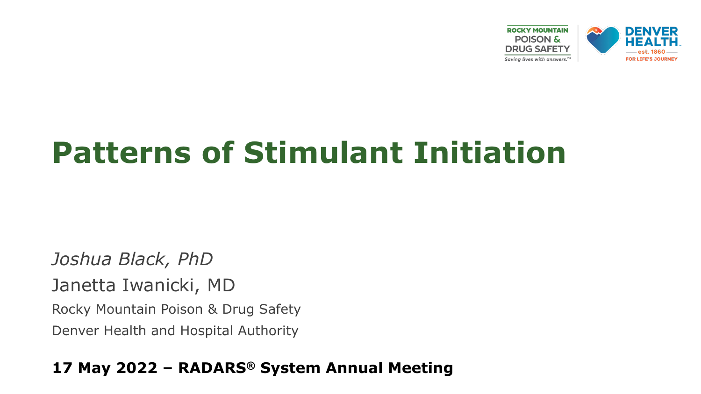

### **Patterns of Stimulant Initiation**

*Joshua Black, PhD* Janetta Iwanicki, MD Rocky Mountain Poison & Drug Safety Denver Health and Hospital Authority

#### **17 May 2022 – RADARS® System Annual Meeting**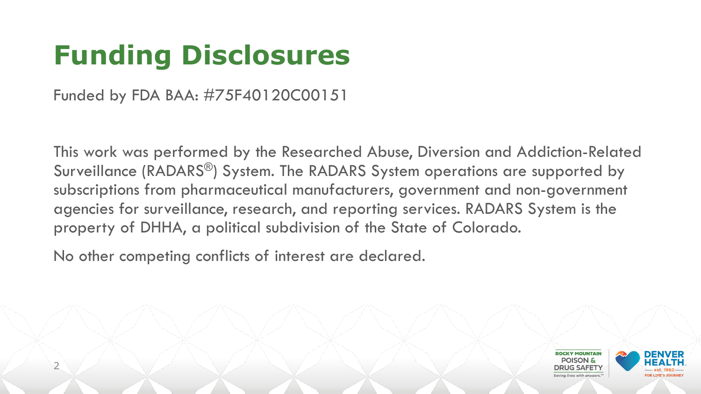## **Funding Disclosures**

Funded by FDA BAA: #75F40120C00151

This work was performed by the Researched Abuse, Diversion and Addiction-Related Surveillance (RADARS®) System. The RADARS System operations are supported by subscriptions from pharmaceutical manufacturers, government and non-government agencies for surveillance, research, and reporting services. RADARS System is the property of DHHA, a political subdivision of the State of Colorado.

No other competing conflicts of interest are declared.

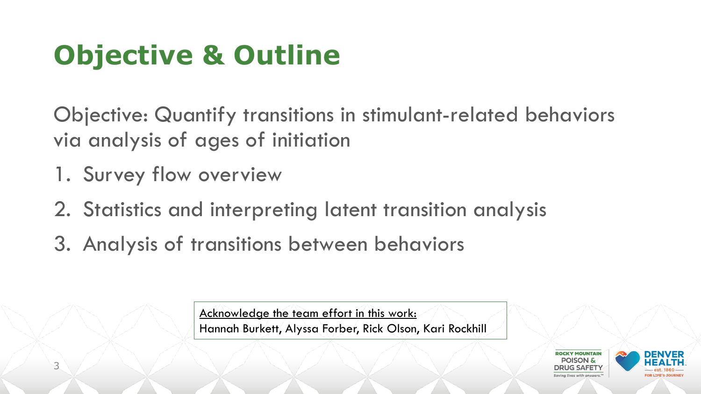# **Objective & Outline**

Objective: Quantify transitions in stimulant-related behaviors via analysis of ages of initiation

- 1. Survey flow overview
- 2. Statistics and interpreting latent transition analysis
- 3. Analysis of transitions between behaviors

Acknowledge the team effort in this work: Hannah Burkett, Alyssa Forber, Rick Olson, Kari Rockhill

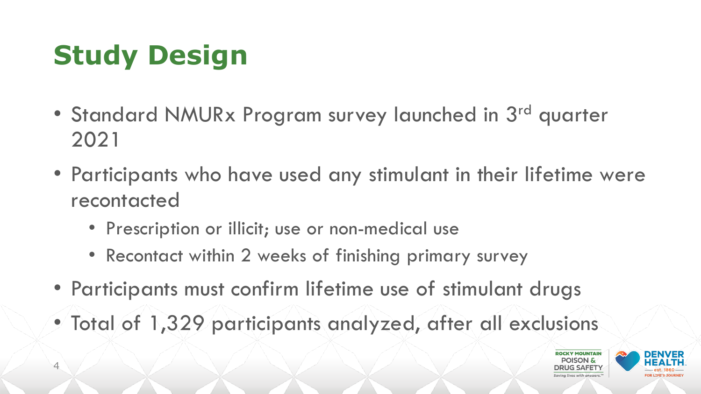# **Study Design**

- Standard NMURx Program survey launched in 3<sup>rd</sup> quarter 2021
- Participants who have used any stimulant in their lifetime were recontacted
	- Prescription or illicit; use or non-medical use
	- Recontact within 2 weeks of finishing primary survey
- Participants must confirm lifetime use of stimulant drugs
- Total of 1,329 participants analyzed, after all exclusions



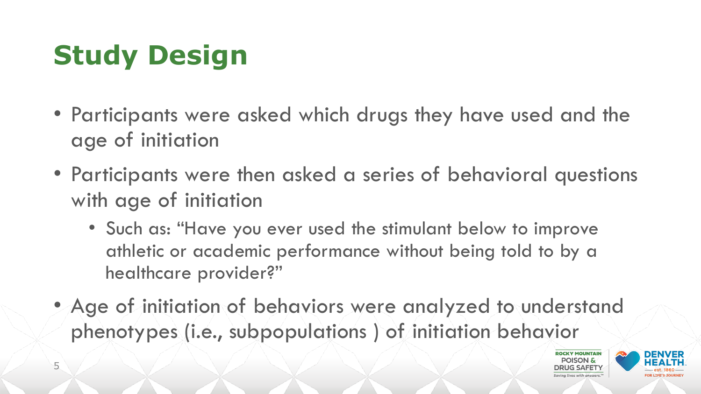# **Study Design**

- Participants were asked which drugs they have used and the age of initiation
- Participants were then asked a series of behavioral questions with age of initiation
	- Such as: "Have you ever used the stimulant below to improve athletic or academic performance without being told to by a healthcare provider?"
- Age of initiation of behaviors were analyzed to understand phenotypes (i.e., subpopulations ) of initiation behavior



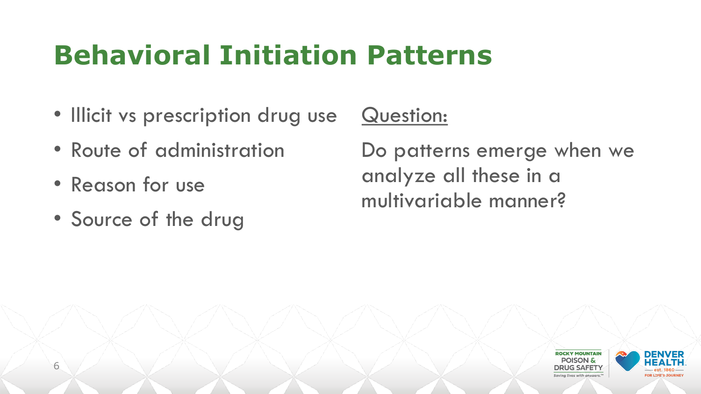### **Behavioral Initiation Patterns**

- Illicit vs prescription drug use
- Route of administration
- Reason for use

6

• Source of the drug

Question:

Do patterns emerge when we analyze all these in a multivariable manner?

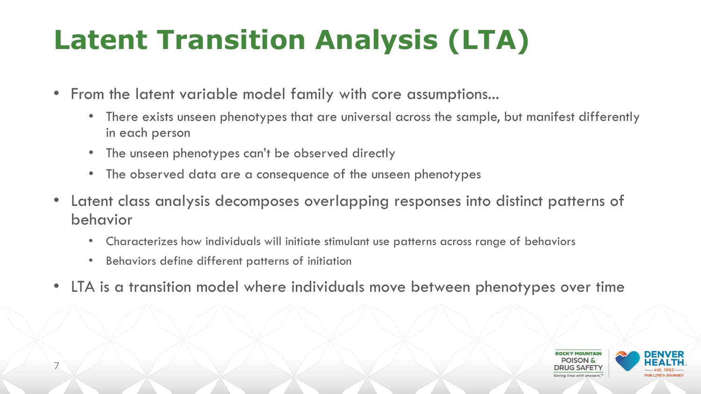# **Latent Transition Analysis (LTA)**

- From the latent variable model family with core assumptions...
	- There exists unseen phenotypes that are universal across the sample, but manifest differently in each person
	- The unseen phenotypes can't be observed directly
	- The observed data are a consequence of the unseen phenotypes
- Latent class analysis decomposes overlapping responses into distinct patterns of behavior
	- Characterizes how individuals will initiate stimulant use patterns across range of behaviors
	- Behaviors define different patterns of initiation

7

• LTA is a transition model where individuals move between phenotypes over time

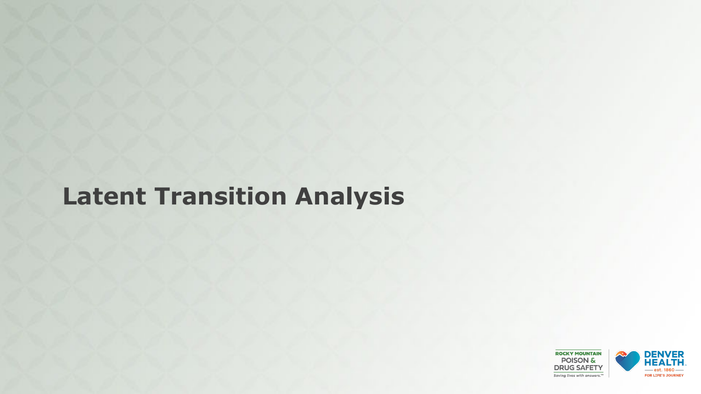### **Latent Transition Analysis**

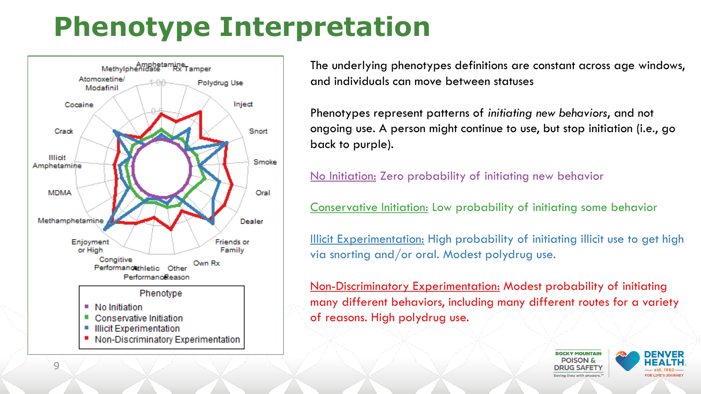### **Phenotype Interpretation**



The underlying phenotypes definitions are constant across age windows, and individuals can move between statuses

Phenotypes represent patterns of *initiating new behaviors*, and not ongoing use. A person might continue to use, but stop initiation (i.e., go back to purple).

No Initiation: Zero probability of initiating new behavior

Conservative Initiation: Low probability of initiating some behavior

Illicit Experimentation: High probability of initiating illicit use to get high via snorting and/or oral. Modest polydrug use.

Non-Discriminatory Experimentation: Modest probability of initiating many different behaviors, including many different routes for a variety of reasons. High polydrug use.



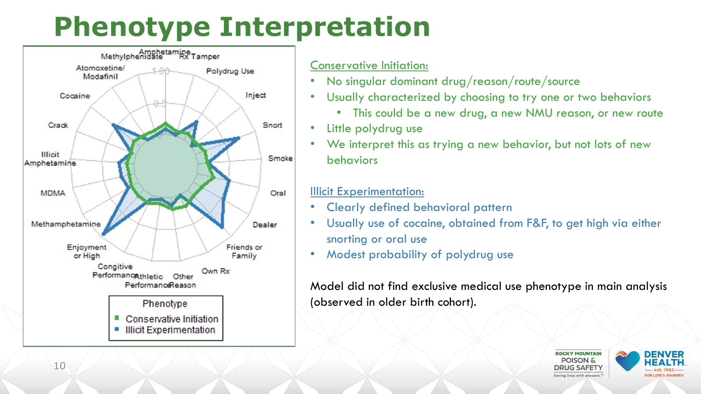### **Phenotype Interpretation**



10

#### Conservative Initiation:

- No singular dominant drug/reason/route/source
- Usually characterized by choosing to try one or two behaviors
	- This could be a new drug, a new NMU reason, or new route
- Little polydrug use
- We interpret this as trying a new behavior, but not lots of new behaviors

#### Illicit Experimentation:

- Clearly defined behavioral pattern
- Usually use of cocaine, obtained from F&F, to get high via either snorting or oral use
- Modest probability of polydrug use

Model did not find exclusive medical use phenotype in main analysis (observed in older birth cohort).



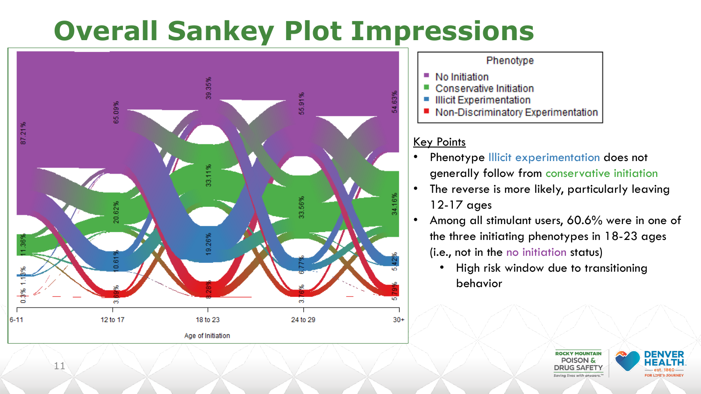### **Overall Sankey Plot Impressions**



#### Phenotype

- No Initiation  $\mathcal{L}_{\mathcal{A}}$
- Conservative Initiation
- **Illicit Experimentation**  $\mathcal{C}^{\mathcal{A}}$
- Non-Discriminatory Experimentation

#### Key Points

- Phenotype Illicit experimentation does not generally follow from conservative initiation
- The reverse is more likely, particularly leaving 12-17 ages
- Among all stimulant users, 60.6% were in one of the three initiating phenotypes in 18-23 ages (i.e., not in the no initiation status)
	- High risk window due to transitioning behavior



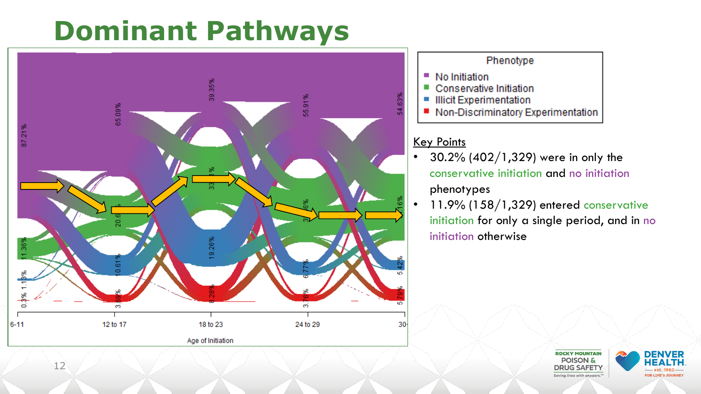

#### Phenotype

- No Initiation  $\mathcal{L}_{\mathcal{A}}$
- Conservative Initiation  $\mathcal{C}^{\mathcal{A}}$
- **Illicit Experimentation**  $\mathcal{L}_{\mathcal{A}}$
- Non-Discriminatory Experimentation  $\mathcal{L}^{\text{max}}$

#### Key Points

- $30.2\%$  (402/1,329) were in only the conservative initiation and no initiation phenotypes
- 11.9% (158/1,329) entered conservative initiation for only a single period, and in no initiation otherwise



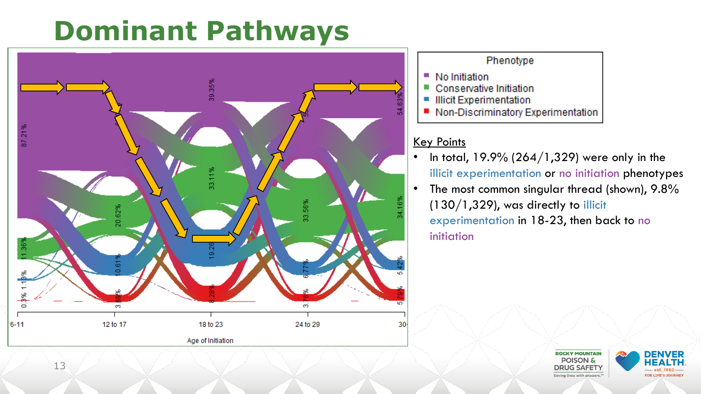

#### Phenotype

- No Initiation  $\mathcal{L}_{\mathcal{A}}$
- **Tale** Conservative Initiation
- **Illicit Experimentation**  $\mathcal{L}_{\mathcal{A}}$
- Non-Discriminatory Experimentation  $\mathcal{L}^{\text{max}}$

#### Key Points

- In total,  $19.9\%$  (264/1,329) were only in the illicit experimentation or no initiation phenotypes
- The most common singular thread (shown), 9.8%  $(130/1,329)$ , was directly to illicit experimentation in 18-23, then back to no initiation



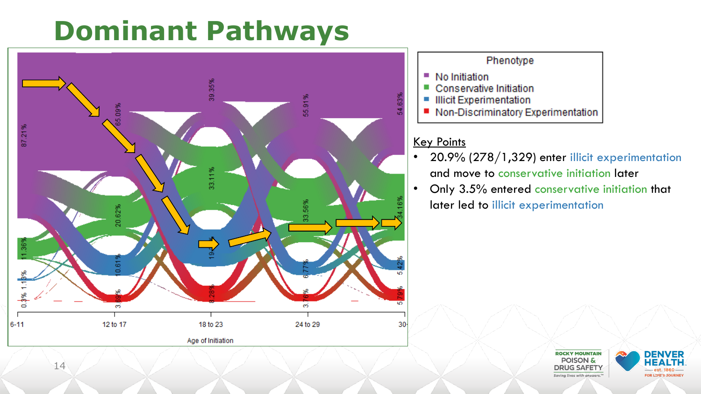

#### Phenotype

- No Initiation  $\mathcal{L}^{\mathcal{L}}$
- Conservative Initiation  $\mathcal{C}^{\mathcal{A}}$
- **Illicit Experimentation**  $\mathcal{L}_{\mathcal{A}}$
- Non-Discriminatory Experimentation  $\mathcal{L}^{\text{max}}$

#### Key Points

- 20.9% (278/1,329) enter illicit experimentation and move to conservative initiation later
- Only 3.5% entered conservative initiation that later led to illicit experimentation



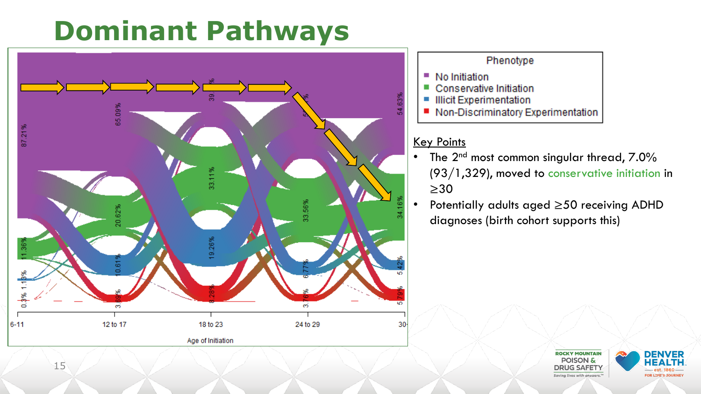

#### Phenotype

- No Initiation  $\mathcal{L}^{\mathcal{L}}$
- $\mathcal{C}^{\mathcal{A}}$ Conservative Initiation
- **Illicit Experimentation**  $\mathcal{L}_{\mathcal{A}}$
- Non-Discriminatory Experimentation  $\mathcal{L}^{\text{max}}$

#### Key Points

- The  $2^{nd}$  most common singular thread,  $7.0\%$ (93/1,329), moved to conservative initiation in ≥30
- Potentially adults aged ≥50 receiving ADHD diagnoses (birth cohort supports this)



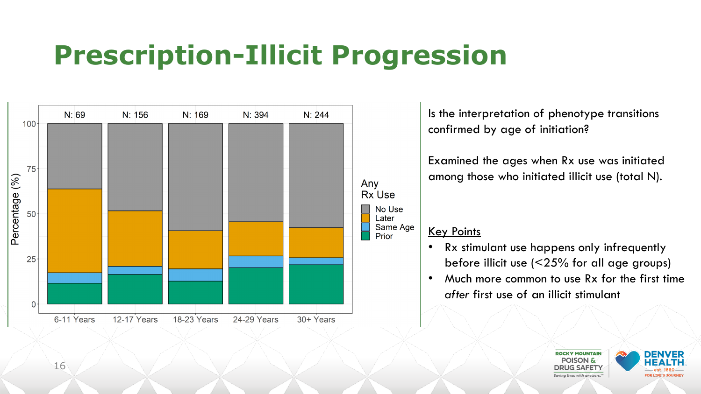## **Prescription-Illicit Progression**



Is the interpretation of phenotype transitions confirmed by age of initiation?

Examined the ages when Rx use was initiated among those who initiated illicit use (total N).

#### Key Points

- Rx stimulant use happens only infrequently before illicit use (<25% for all age groups)
- Much more common to use Rx for the first time *after* first use of an illicit stimulant



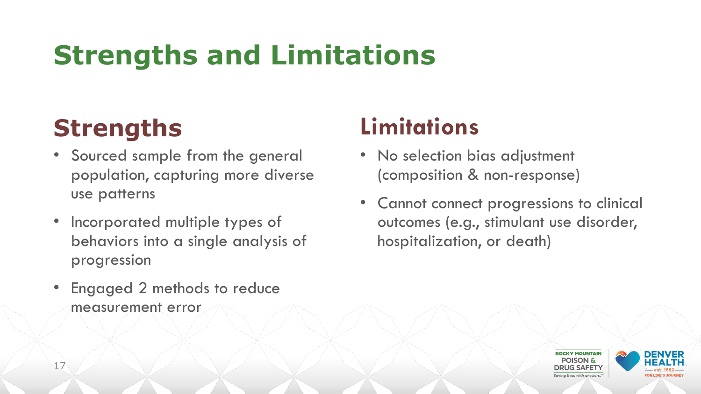## **Strengths and Limitations**

### **Strengths**

- Sourced sample from the general population, capturing more diverse use patterns
- Incorporated multiple types of behaviors into a single analysis of progression
- Engaged 2 methods to reduce measurement error

### **Limitations**

- No selection bias adjustment (composition & non-response)
- Cannot connect progressions to clinical outcomes (e.g., stimulant use disorder, hospitalization, or death)

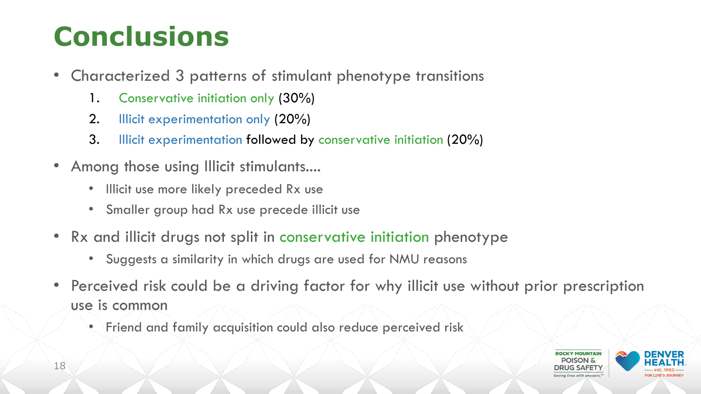## **Conclusions**

- Characterized 3 patterns of stimulant phenotype transitions
	- 1. Conservative initiation only (30%)
	- 2. Illicit experimentation only (20%)
	- 3. Illicit experimentation followed by conservative initiation (20%)
- Among those using Illicit stimulants....
	- Illicit use more likely preceded Rx use
	- Smaller group had Rx use precede illicit use
- Rx and illicit drugs not split in conservative initiation phenotype
	- Suggests a similarity in which drugs are used for NMU reasons
- Perceived risk could be a driving factor for why illicit use without prior prescription use is common
	- Friend and family acquisition could also reduce perceived risk